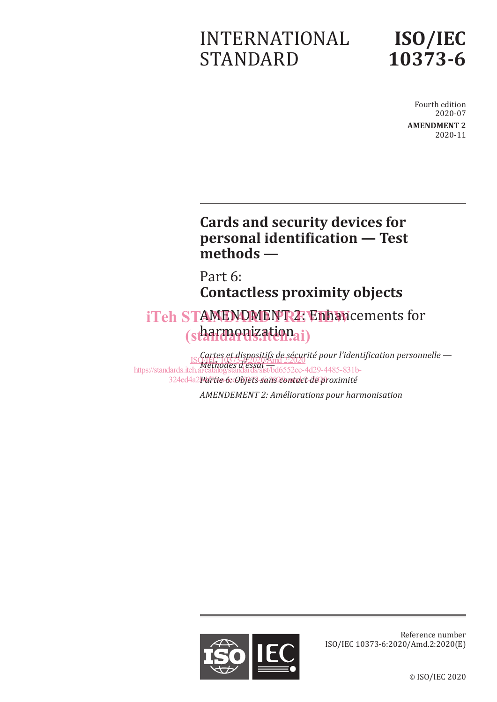# INTERNATIONAL STANDARD

# **ISO/IEC 10373-6**

Fourth edition 2020-07 **AMENDMENT 2** 2020-11

## **Cards and security devices for personal identification — Test methods —**

Part 6: **Contactless proximity objects**

## iTeh STAMENDMENT 2: Enhancements for (standardizationai)

*Cartes et dispositifs de sécurité pour l'identification personnelle —*<br><u>ISO/IEC 10373-6:2020</u><sup>/Amd</sup> 2:2020 *Méthodes d'essai —* https://standards.iteh.ai/catalog/standards/sist/bd6552ec-4d29-4485-831b-324ed4a2Partie-6:Objets-sans contact-de proximité

*AMENDEMENT 2: Améliorations pour harmonisation*



Reference number ISO/IEC 10373-6:2020/Amd.2:2020(E)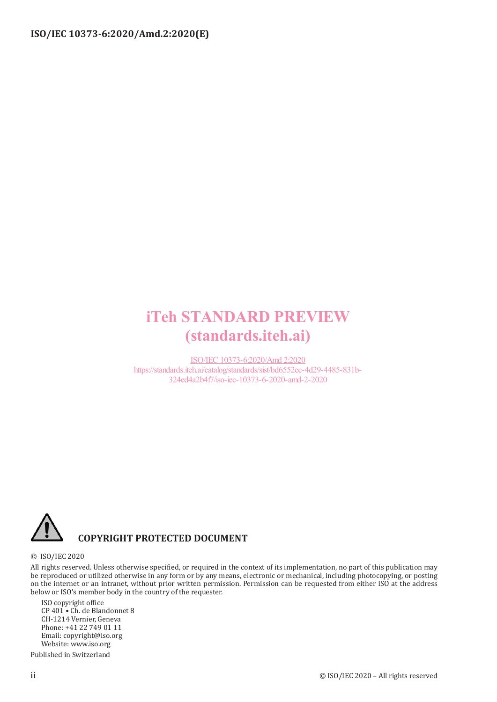## iTeh STANDARD PREVIEW (standards.iteh.ai)

ISO/IEC 10373-6:2020/Amd 2:2020 https://standards.iteh.ai/catalog/standards/sist/bd6552ec-4d29-4485-831b-324ed4a2b4f7/iso-iec-10373-6-2020-amd-2-2020



#### **COPYRIGHT PROTECTED DOCUMENT**

#### © ISO/IEC 2020

All rights reserved. Unless otherwise specified, or required in the context of its implementation, no part of this publication may be reproduced or utilized otherwise in any form or by any means, electronic or mechanical, including photocopying, or posting on the internet or an intranet, without prior written permission. Permission can be requested from either ISO at the address below or ISO's member body in the country of the requester.

ISO copyright office CP 401 • Ch. de Blandonnet 8 CH-1214 Vernier, Geneva Phone: +41 22 749 01 11 Email: copyright@iso.org Website: www.iso.org

Published in Switzerland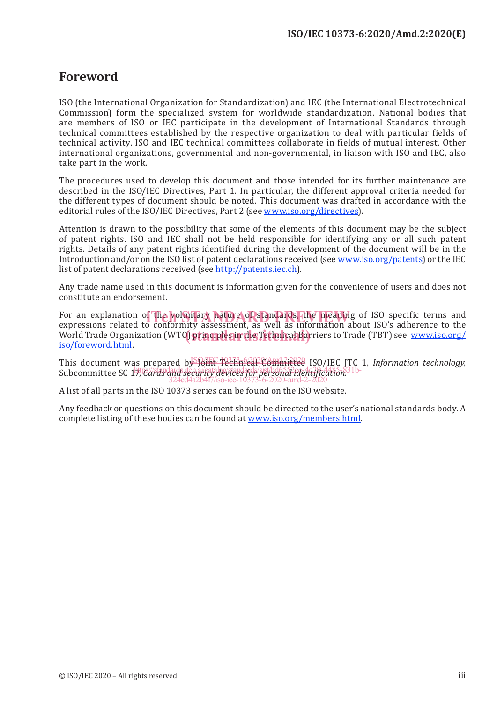### **Foreword**

ISO (the International Organization for Standardization) and IEC (the International Electrotechnical Commission) form the specialized system for worldwide standardization. National bodies that are members of ISO or IEC participate in the development of International Standards through technical committees established by the respective organization to deal with particular fields of technical activity. ISO and IEC technical committees collaborate in fields of mutual interest. Other international organizations, governmental and non-governmental, in liaison with ISO and IEC, also take part in the work.

The procedures used to develop this document and those intended for its further maintenance are described in the ISO/IEC Directives, Part 1. In particular, the different approval criteria needed for the different types of document should be noted. This document was drafted in accordance with the editorial rules of the ISO/IEC Directives, Part 2 (see www.iso.org/directives).

Attention is drawn to the possibility that some of the elements of this document may be the subject of patent rights. ISO and IEC shall not be held responsible for identifying any or all such patent rights. Details of any patent rights identified during the development of the document will be in the Introduction and/or on the ISO list of patent declarations received (see www.iso.org/patents) or the IEC list of patent declarations received (see http://patents.iec.ch).

Any trade name used in this document is information given for the convenience of users and does not constitute an endorsement.

For an explanation of the voluntary nature of standards, the meaning of ISO specific terms and<br>expressions related to conformity assessment, as well as information about ISO's adherence to the expressions related to conformity assessment, as well as information about ISO's adherence to the enpressions related to comormity discussioning to well as information assat loss admorphes to the<br>World Trade Organization (WTO) principles in the Technical Barriers to Trade (TBT) see www.iso.org/ iso/foreword.html.

This document was prepared by Stoffic Technical Committee ISO/IEC JTC 1, *Information technology*, subcommittee SC 17, *Cards and security devices for personal identification*. 1b-324ed4a2b4f7/iso-iec-10373-6-2020-amd-2-2020

A list of all parts in the ISO 10373 series can be found on the ISO website.

Any feedback or questions on this document should be directed to the user's national standards body. A complete listing of these bodies can be found at www.iso.org/members.html.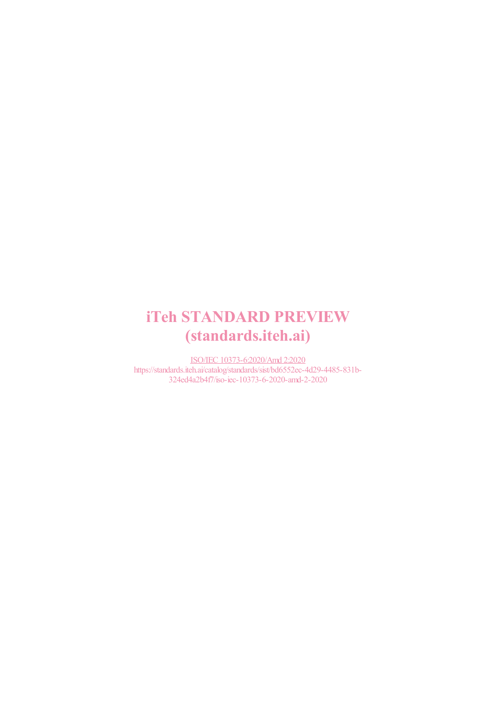## iTeh STANDARD PREVIEW (standards.iteh.ai)

ISO/IEC 10373-6:2020/Amd 2:2020 https://standards.iteh.ai/catalog/standards/sist/bd6552ec-4d29-4485-831b-324ed4a2b4f7/iso-iec-10373-6-2020-amd-2-2020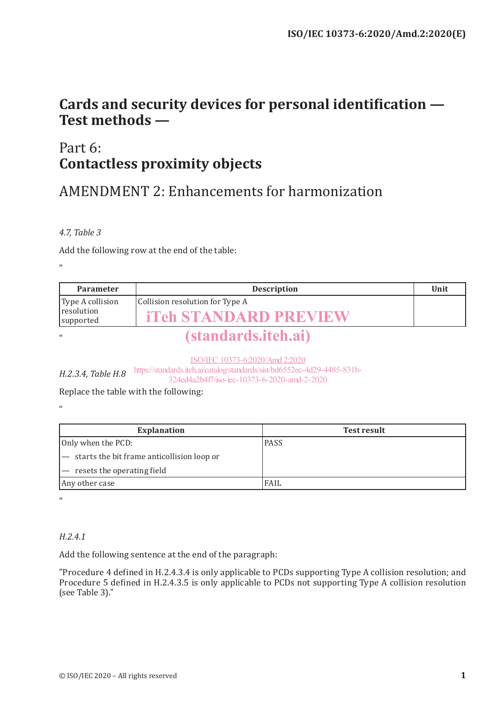### **Cards and security devices for personal identification — Test methods —**

## Part 6: **Contactless proximity objects**

### AMENDMENT 2: Enhancements for harmonization

#### *4.7, Table 3*

"

Add the following row at the end of the table:

**Parameter Description Unit** Type A collision resolution supported Collision resolution for Type A " iTeh STANDARD PREVIEW (standards.iteh.ai)

ISO/IEC 10373-6:2020/Amd 2:2020

*H.2.3.4, Table H.8* https://standards.iteh.ai/catalog/standards/sist/bd6552ec-4d29-4485-831b-324ed4a2b4f7/iso-iec-10373-6-2020-amd-2-2020

Replace the table with the following:

"

| <b>Explanation</b>                         | <b>Test result</b> |
|--------------------------------------------|--------------------|
| Only when the PCD:                         | <b>PASS</b>        |
| starts the bit frame anticollision loop or |                    |
| resets the operating field                 |                    |
| Any other case                             | FAIL               |

"

#### *H.2.4.1*

Add the following sentence at the end of the paragraph:

"Procedure 4 defined in H.2.4.3.4 is only applicable to PCDs supporting Type A collision resolution; and Procedure 5 defined in H.2.4.3.5 is only applicable to PCDs not supporting Type A collision resolution (see Table 3)."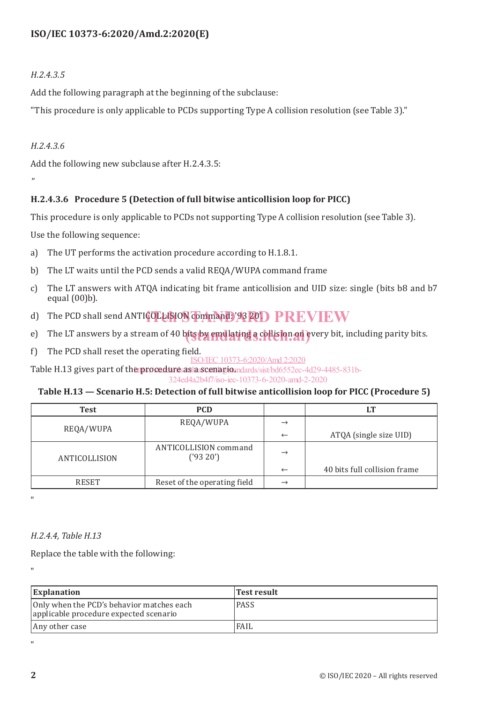#### **ISO/IEC 10373-6:2020/Amd.2:2020(E)**

#### *H.2.4.3.5*

Add the following paragraph at the beginning of the subclause:

"This procedure is only applicable to PCDs supporting Type A collision resolution (see Table 3)."

#### *H.2.4.3.6*

Add the following new subclause after H.2.4.3.5:

*"*

#### **H.2.4.3.6 Procedure 5 (Detection of full bitwise anticollision loop for PICC)**

This procedure is only applicable to PCDs not supporting Type A collision resolution (see Table 3).

Use the following sequence:

- a) The UT performs the activation procedure according to H.1.8.1.
- b) The LT waits until the PCD sends a valid REQA/WUPA command frame
- c) The LT answers with ATQA indicating bit frame anticollision and UID size: single (bits b8 and b7 equal (00)b).
- d) The PCD shall send ANTICOLLISION command: '93 20! PREVIEW
- e) The LT answers by a stream of 40 bits by emulating a collision on every bit, including parity bits.
- f) The PCD shall reset the operating field.
- ISO/IEC 10373-6:2020/Amd 2:2020

Table H.13 gives part of the procedure as la scenagio and ards/sist/bd6552ec-4d29-4485-831b-324ed4a2b4f7/iso-iec-10373-6-2020-amd-2-2020

#### **Table H.13 — Scenario H.5: Detection of full bitwise anticollision loop for PICC (Procedure 5)**

| <b>Test</b>   | <b>PCD</b>                         |               | LT                           |
|---------------|------------------------------------|---------------|------------------------------|
| REQA/WUPA     | REQA/WUPA                          | $\rightarrow$ |                              |
|               |                                    | $\leftarrow$  | ATQA (single size UID)       |
| ANTICOLLISION | ANTICOLLISION command<br>('93 20') | $\rightarrow$ |                              |
|               |                                    | $\leftarrow$  | 40 bits full collision frame |
| <b>RESET</b>  | Reset of the operating field       | $\rightarrow$ |                              |

"

#### *H.2.4.4, Table H.13*

Replace the table with the following:

"

| Explanation                                                                         | Test result |
|-------------------------------------------------------------------------------------|-------------|
| Only when the PCD's behavior matches each<br>applicable procedure expected scenario | <b>PASS</b> |
| Any other case                                                                      | FAIL        |

"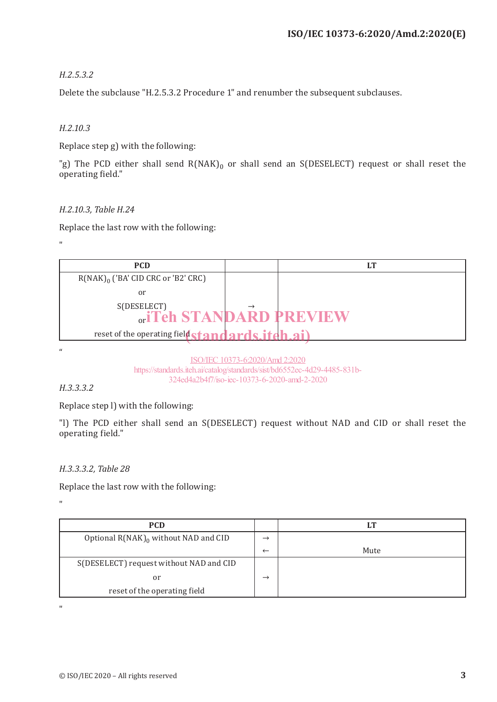*H.2.5.3.2*

Delete the subclause "H.2.5.3.2 Procedure 1" and renumber the subsequent subclauses.

#### *H.2.10.3*

Replace step g) with the following:

"g) The PCD either shall send  $R(NAK)_0$  or shall send an S(DESELECT) request or shall reset the operating field."

#### *H.2.10.3, Table H.24*

Replace the last row with the following:

"

 $\mathbf{a}$ 

| <b>PCD</b>                                        |  |
|---------------------------------------------------|--|
| $R(NAK)_0$ ('BA' CID CRC or 'B2' CRC)             |  |
| or                                                |  |
| S(DESELECT)                                       |  |
| <sub>or</sub> iTeh STANDARD PREVIEW               |  |
| reset of the operating field standards, itch, ai) |  |

ISO/IEC 10373-6:2020/Amd 2:2020 https://standards.iteh.ai/catalog/standards/sist/bd6552ec-4d29-4485-831b-324ed4a2b4f7/iso-iec-10373-6-2020-amd-2-2020

#### *H.3.3.3.2*

Replace step l) with the following:

"l) The PCD either shall send an S(DESELECT) request without NAD and CID or shall reset the operating field."

*H.3.3.3.2, Table 28*

Replace the last row with the following:

"

| <b>PCD</b>                              |               |      |
|-----------------------------------------|---------------|------|
| Optional $R(NAK)_0$ without NAD and CID | $\rightarrow$ |      |
|                                         | $\leftarrow$  | Mute |
| S(DESELECT) request without NAD and CID |               |      |
| or                                      | $\rightarrow$ |      |
| reset of the operating field            |               |      |

"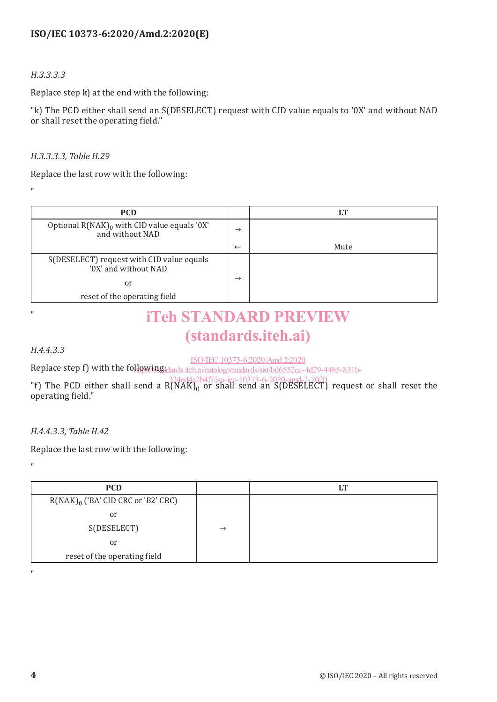#### **ISO/IEC 10373-6:2020/Amd.2:2020(E)**

#### *H.3.3.3.3*

Replace step k) at the end with the following:

"k) The PCD either shall send an S(DESELECT) request with CID value equals to '0X' and without NAD or shall reset the operating field."

#### *H.3.3.3.3, Table H.29*

Replace the last row with the following:

"

| <b>PCD</b>                                                              |               | LТ   |
|-------------------------------------------------------------------------|---------------|------|
| Optional $R(NAK)_0$ with CID value equals '0X'<br>and without NAD       |               |      |
|                                                                         | $\leftarrow$  | Mute |
| S(DESELECT) request with CID value equals<br>'0X' and without NAD<br>or | $\rightarrow$ |      |
| reset of the operating field                                            |               |      |

## iTeh STANDARD PREVIEW (standards.iteh.ai)

*H.4.4.3.3*

"

ISO/IEC 10373-6:2020/Amd 2:2020

Replace step f) with the following: dards.iteh.ai/catalog/standards/sist/bd6552ec-4d29-4485-831b-

"f) The PCD either shall send a  $R(NAK)_0$  or shall send an S(DESELECT) request or shall reset the operating field." 324ed4a2b4f7/iso-iec-10373-6-2020-amd-2-2020

*H.4.4.3.3, Table H.42*

Replace the last row with the following:

"

| <b>PCD</b>                            |               | LТ |
|---------------------------------------|---------------|----|
| $R(NAK)_0$ ('BA' CID CRC or 'B2' CRC) |               |    |
| <sub>or</sub>                         |               |    |
| S(DESELECT)                           | $\rightarrow$ |    |
| or                                    |               |    |
| reset of the operating field          |               |    |

"